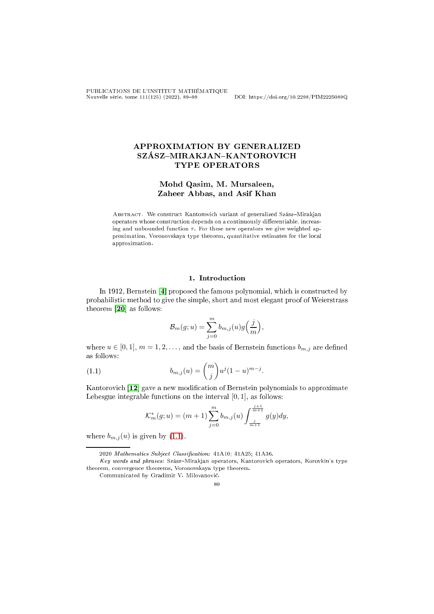PUBLICATIONS DE L'INSTITUT MATHÉMATIQUE Nouvelle série, tome 111(125) (2022), 8999 DOI: https://doi.org/10.2298/PIM2225089Q

# APPROXIMATION BY GENERALIZED SZÁSZ-MIRAKJAN-KANTOROVICH TYPE OPERATORS

# Mohd Qasim, M. Mursaleen, Zaheer Abbas, and Asif Khan

ABSTRACT. We construct Kantorovich variant of generalized Szász-Mirakjan operators whose construction depends on a continuously differentiable, increasing and unbounded function  $\tau$ . For these new operators we give weighted approximation, Voronovskaya type theorem, quantitative estimates for the lo
al approximation.

#### 1. Introduction

In 1912, Bernstein [4] proposed the famous polynomial, which is constructed by probabilisti method to give the simple, short and most elegant proof of Weierstrass theorem  $[20]$  as follows:

$$
\mathcal{B}_{m}(g;u)=\sum_{j=0}^{m}b_{m,j}(u)g\Big(\frac{j}{m}\Big),\,
$$

where  $u \in [0, 1], m = 1, 2, \ldots$ , and the basis of Bernstein functions  $b_{m,i}$  are defined as follows:

(1.1) 
$$
b_{m,j}(u) = {m \choose j} u^j (1-u)^{m-j}.
$$

Kantorovich [12] gave a new modification of Bernstein polynomials to approximate Lebesgue integrable functions on the interval  $[0, 1]$ , as follows:

<span id="page-0-0"></span>
$$
\mathcal{K}_m^*(g;u) = (m+1) \sum_{j=0}^m b_{m,j}(u) \int_{\frac{j}{m+1}}^{\frac{j+1}{m+1}} g(y) dy,
$$

where  $b_{m,j}(u)$  is given by [\(1.1\)](#page-0-0).

2020 Mathemati
s Subje
t Classi
ation: 41A10; 41A25; 41A36.

Key words and phrases: Szász-Mirakjan operators, Kantorovich operators, Korovkin's type theorem, onvergen
e theorems, Voronovskaya type theorem.

89

Communi
ated by Gradimir V. Milovanovi¢.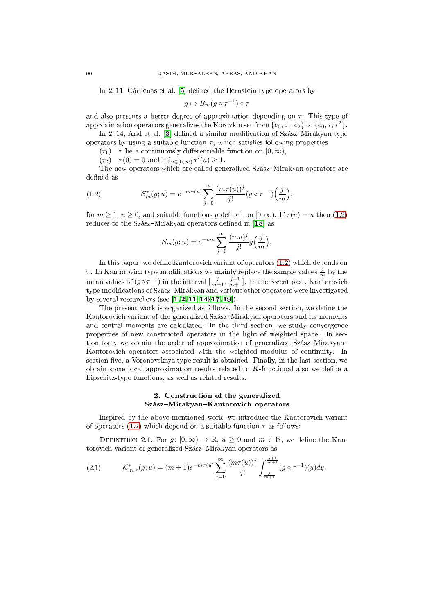In 2011, Cárdenas et al. [5] defined the Bernstein type operators by

$$
g \mapsto B_m(g \circ \tau^{-1}) \circ \tau
$$

and also presents a better degree of approximation depending on  $\tau$ . This type of approximation operators generalizes the Korovkin set from  $\{e_0, e_1, e_2\}$  to  $\{e_0, \tau, \tau^2\}$ .

In 2014, Aral et al. <sup>[3]</sup> defined a similar modification of Szász-Mirakyan type operators by using a suitable function  $\tau$ , which satisfies following properties

 $(\tau_1)$   $\tau$  be a continuously differentiable function on  $[0,\infty)$ ,

 $(\tau_2) \quad \tau(0) = 0$  and  $\inf_{u \in [0,\infty)} \tau'(u) \ge 1$ .

The new operators which are called generalized Szász-Mirakyan operators are defined as

(1.2) 
$$
\mathcal{S}_m^{\tau}(g;u) = e^{-m\tau(u)} \sum_{j=0}^{\infty} \frac{(m\tau(u))^j}{j!} (g \circ \tau^{-1}) \left(\frac{j}{m}\right),
$$

for  $m \geq 1$ ,  $u \geq 0$ , and suitable functions g defined on  $[0, \infty)$ . If  $\tau(u) = u$  then  $(1.2)$ reduces to the Szász–Mirakyan operators defined in [18] as

<span id="page-1-0"></span>
$$
S_m(g; u) = e^{-mu} \sum_{j=0}^{\infty} \frac{(mu)^j}{j!} g\left(\frac{j}{m}\right),
$$

In this paper, we define Kantorovich variant of operators [\(1.2\)](#page-1-0) which depends on  $\tau$ . In Kantorovich type modifications we mainly replace the sample values  $\frac{j}{m}$  by the mean values of  $(g \circ \tau^{-1})$  in the interval  $[\frac{j}{m+1}, \frac{j+1}{m+1}]$ . In the recent past, Kantorovich type modi
ations of SzászMirakyan and various other operators were investigated by several researchers (see  $[1, 2, 11, 14-17, 19]$  $[1, 2, 11, 14-17, 19]$  $[1, 2, 11, 14-17, 19]$  $[1, 2, 11, 14-17, 19]$  $[1, 2, 11, 14-17, 19]$  $[1, 2, 11, 14-17, 19]$  $[1, 2, 11, 14-17, 19]$  $[1, 2, 11, 14-17, 19]$  $[1, 2, 11, 14-17, 19]$  $[1, 2, 11, 14-17, 19]$ ).

The present work is organized as follows. In the second section, we define the Kantorovich variant of the generalized Szász–Mirakyan operators and its moments and central moments are calculated. In the third section, we study convergence properties of new constructed operators in the light of weighted space. In section four, we obtain the order of approximation of generalized Szász-Mirakyan-Kantorovi
h operators asso
iated with the weighted modulus of ontinuity. In section five, a Voronovskaya type result is obtained. Finally, in the last section, we obtain some lo
al approximation results related to K -fun
tional also we dene a Lips
hitz-type fun
tions, as well as related results.

## 2. Constru
tion of the generalized Szász-Mirakyan-Kantorovich operators

Inspired by the above mentioned work, we introduce the Kantorovich variant of operators [\(1.2\)](#page-1-0) which depend on a suitable function  $\tau$  as follows:

DEFINITION 2.1. For  $q: [0, \infty) \to \mathbb{R}, u > 0$  and  $m \in \mathbb{N}$ , we define the Kantorovich variant of generalized Szász–Mirakyan operators as

<span id="page-1-1"></span>(2.1) 
$$
\mathcal{K}^*_{m,\tau}(g;u) = (m+1)e^{-m\tau(u)} \sum_{j=0}^{\infty} \frac{(m\tau(u))^j}{j!} \int_{\frac{j}{m+1}}^{\frac{j+1}{m+1}} (g \circ \tau^{-1})(y) dy,
$$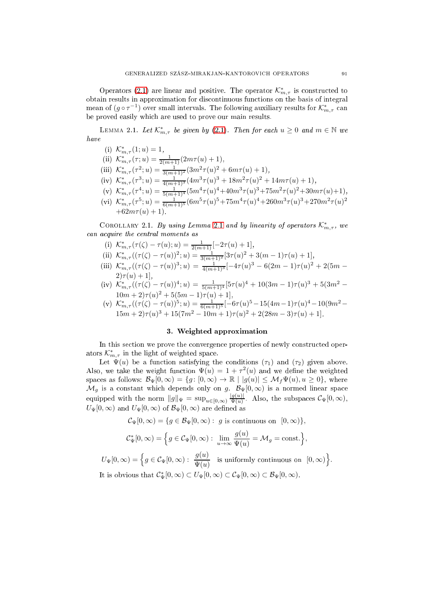Operators [\(2.1\)](#page-1-1) are linear and positive. The operator  $\mathcal{K}_{m,\tau}^{*}$  is constructed to obtain results in approximation for discontinuous functions on the basis of integral mean of  $(g \circ \tau^{-1})$  over small intervals. The following auxiliary results for  $\mathcal{K}^*_{m,\tau}$  can be proved easily whi
h are used to prove our main results.

<span id="page-2-0"></span>LEMMA 2.1. Let  $\mathcal{K}_{m,\tau}^{*}$  be given by [\(2.1\)](#page-1-1). Then for each  $u \geq 0$  and  $m \in \mathbb{N}$  we have

(i)  $\mathcal{K}_{m,\tau}^{*}(1;u) = 1,$ (ii)  $\mathcal{K}_{m,\tau}^*(\tau;u) = \frac{1}{2(m+1)}(2m\tau(u)+1),$ (iii)  $\mathcal{K}_{m,\tau}^*(\tau^2;u) = \frac{1}{3(m+1)^2} (3m^2 \tau(u))^2 + 6m\tau(u) + 1),$ (iv)  $\mathcal{K}_{m,\tau}^*(\tau^3; u) = \frac{1}{4(m+1)^3} (4m^3 \tau(u)^3 + 18m^2 \tau(u)^2 + 14m \tau(u) + 1),$ (v)  $\mathcal{K}_{m,\tau}^*(\tau^4;u) = \frac{1}{5(m+1)^4} (5m^4\tau(u)^4 + 40m^3\tau(u)^3 + 75m^2\tau(u)^2 + 30m\tau(u) + 1),$ (vi)  $\mathcal{K}_{m,\tau}^*(\tau^5; u) = \frac{1}{6(m+1)^5} (6m^5 \tau(u)^5 + 75m^4 \tau(u)^4 + 260m^3 \tau(u)^3 + 270m^2 \tau(u)^2)$  $+62m\tau(u) + 1.$ 

<span id="page-2-1"></span>COROLLARY [2.1](#page-2-0). By using Lemma 2.1 and by linearity of operators  $\mathcal{K}_{m,\tau}^*$ , we an a
quire the entral moments as

(i) 
$$
\mathcal{K}_{m,\tau}^*(\tau(\zeta) - \tau(u); u) = \frac{1}{2(m+1)}[-2\tau(u) + 1],
$$

- (ii)  $\mathcal{K}_{m,\tau}^*((\tau(\zeta)-\tau(u))^2;u) = \frac{1}{3(m+1)^2} [3\tau(u)^2+3(m-1)\tau(u)+1],$
- (iii)  $\mathcal{K}_{m,\tau}^*((\tau(\zeta)-\tau(u))^3;u) = \frac{1}{4(m+1)^3}[-4\tau(u)^3-6(2m-1)\tau(u)^2+2(5m-1)\tau(u))^2$  $2\tau(u) + 1$ ,
- (iv)  $\mathcal{K}_{m,\tau}^*((\tau(\zeta)-\tau(u))^4;u) = \frac{1}{5(m+1)^4}[5\tau(u)^4+10(3m-1)\tau(u)^3+5(3m^2-1)]$  $10m + 2\tau(u)^2 + 5(5m - 1)\tau(u) + 1,$
- (v)  $\mathcal{K}_{m,\tau}^*((\tau(\zeta)-\tau(u))^5; u) = \frac{1}{6(m+1)^5}[-6\tau(u)^5 15(4m-1)\tau(u)^4 10(9m^2 15m + 2)\tau(u)^3 + 15(7m^2 - 10m + 1)\tau(u)^2 + 2(28m - 3)\tau(u) + 1].$

### 3. Weighted approximation

In this se
tion we prove the onvergen
e properties of newly onstru
ted operators  $\mathcal{K}_{m,\tau}^*$  in the light of weighted space.

Let  $\Psi(u)$  be a function satisfying the conditions  $(\tau_1)$  and  $(\tau_2)$  given above. Also, we take the weight function  $\Psi(u) = 1 + \tau^2(u)$  and we define the weighted spaces as follows:  $\mathcal{B}_{\Psi}[0,\infty) = \{g: [0,\infty) \to \mathbb{R} \mid |g(u)| \leq \mathcal{M}_f \Psi(u), u \geq 0\}$ , where  $\mathcal{M}_g$  is a constant which depends only on g.  $\mathcal{B}_{\Psi}[0,\infty)$  is a normed linear space equipped with the norm  $||g||_{\Psi} = \sup_{u \in [0,\infty)} \frac{|g(u)|}{\Psi(u)}$ . Also, the subspaces  $\mathcal{C}_{\Psi}[0,\infty)$ ,  $U_{\Psi}[0,\infty)$  and  $U_{\Psi}[0,\infty)$  of  $\mathcal{B}_{\Psi}[0,\infty)$  are defined as

$$
\mathcal{C}_{\Psi}[0,\infty) = \{ g \in \mathcal{B}_{\Psi}[0,\infty) : g \text{ is continuous on } [0,\infty) \},\
$$

$$
\mathcal{C}_{\Psi}^{*}[0,\infty) = \left\{ g \in \mathcal{C}_{\Psi}[0,\infty) : \lim_{u \to \infty} \frac{g(u)}{\Psi(u)} = \mathcal{M}_{g} = \text{const.} \right\},\
$$

 $U_\Psi[0,\infty)=\Big\{g\in\mathcal C_\Psi[0,\infty):\ \frac{g(u)}{\Psi(u)}\quad\text{is uniformly continuous on }\ [0,\infty)\Big\}.$ It is obvious that  $\mathcal{C}_{\Psi}^*[0,\infty) \subset U_{\Psi}[0,\infty) \subset \mathcal{C}_{\Psi}[0,\infty) \subset \mathcal{B}_{\Psi}[0,\infty)$ .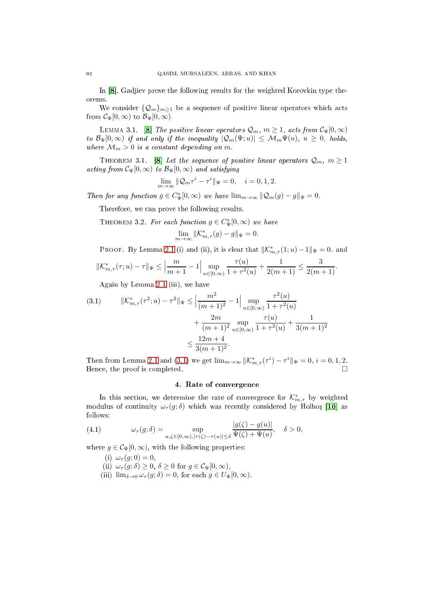In  $[8]$ , Gadjiev prove the following results for the weighted Korovkin type theorems.

We consider  $\{Q_m\}_{m>1}$  be a sequence of positive linear operators which acts from  $\mathcal{C}_{\Psi}[0,\infty)$  to  $\mathcal{B}_{\Psi}[0,\infty)$ .

LEMMA 3.1. [8] The positive linear operators  $\mathcal{Q}_m$ ,  $m \geq 1$ , acts from  $\mathcal{C}_{\Psi}[0,\infty)$ to  $\mathcal{B}_{\Psi}[0,\infty)$  if and only if the inequality  $|\mathcal{Q}_m(\Psi;u)| \leq \mathcal{M}_m \Psi(u), u \geq 0$ , holds, where  $\mathcal{M}_m > 0$  is a constant depending on m.

THEOREM 3.1. [8] Let the sequence of positive linear operators  $\mathcal{Q}_m$ ,  $m \geq 1$ acting from  $\mathcal{C}_{\Psi}[0,\infty)$  to  $\mathcal{B}_{\Psi}[0,\infty)$  and satisfying

$$
\lim_{m \to \infty} ||Q_m \tau^i - \tau^i||_{\Psi} = 0, \quad i = 0, 1, 2.
$$

Then for any function  $g \in C^*_{\Psi}[0,\infty)$  we have  $\lim_{m\to\infty} ||\mathcal{Q}_m(g) - g||_{\Psi} = 0$ .

Therefore, we an prove the following results.

THEOREM 3.2. For each function  $g \in C^*_\Psi[0,\infty)$  we have

$$
\lim_{m \to \infty} \|\mathcal{K}_{m,\tau}^*(g) - g\|_{\Psi} = 0.
$$

PROOF. By Lemma [2.1](#page-2-0) (i) and (ii), it is clear that  $\|\mathcal{K}_{m,\tau}^*(1;u)-1\|_{\Psi}=0$ . and

$$
\|\mathcal{K}_{m,\tau}^*(\tau;u)-\tau\|_{\Psi}\leq \left|\frac{m}{m+1}-1\right|\sup_{u\in[0,\infty)}\frac{\tau(u)}{1+\tau^2(u)}+\frac{1}{2(m+1)}\leq \frac{3}{2(m+1)}.
$$

Again by Lemma [2.1](#page-2-0) (iii), we have

<span id="page-3-0"></span>
$$
(3.1) \qquad \|\mathcal{K}^*_{m,\tau}(\tau^2;u) - \tau^2\|_{\Psi} \le \left|\frac{m^2}{(m+1)^2} - 1\right| \sup_{u \in [0,\infty)} \frac{\tau^2(u)}{1 + \tau^2(u)} + \frac{2m}{(m+1)^2} \sup_{u \in [0,\infty)} \frac{\tau(u)}{1 + \tau^2(u)} + \frac{1}{3(m+1)^2} \le \frac{12m+4}{3(m+1)^2}.
$$

Then from Lemma [2.1](#page-2-0) and [\(3.1\)](#page-3-0) we get  $\lim_{m\to\infty} ||\mathcal{K}^*_{m,\tau}(\tau^i) - \tau^i||_{\Psi} = 0, i = 0, 1, 2$ . Hence, the proof is completed.

### 4. Rate of onvergen
e

In this section, we determine the rate of convergence for  $\mathcal{K}_{m,\tau}^{*}$  by weighted modulus of continuity  $\omega_{\tau}(g;\delta)$  which was recently considered by Holhos [10] as follows:

(4.1) 
$$
\omega_{\tau}(g;\delta) = \sup_{u,\zeta \in [0,\infty), |\tau(\zeta) - \tau(u)| \leq \delta} \frac{|g(\zeta) - g(u)|}{\Psi(\zeta) + \Psi(u)}, \quad \delta > 0,
$$

where  $g \in C_{\Psi}[0,\infty)$ , with the following properties:

<span id="page-3-1"></span>(i)  $\omega_{\tau}(g; 0) = 0,$ 

(ii)  $\omega_{\tau}(g; \delta) \geq 0, \delta \geq 0$  for  $g \in C_{\Psi}[0, \infty)$ ,

(iii)  $\lim_{\delta \to 0} \omega_{\tau}(g; \delta) = 0$ , for each  $g \in U_{\Psi}[0, \infty)$ .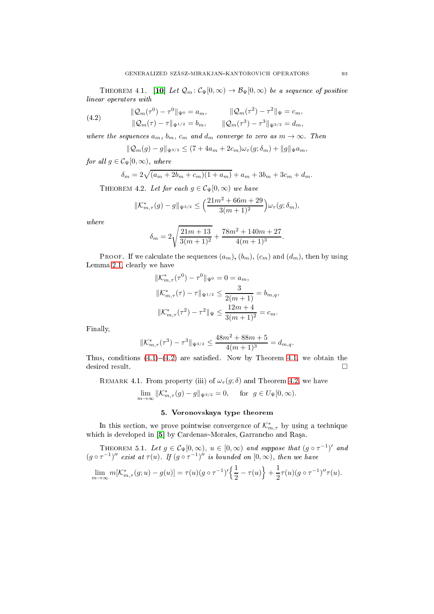<span id="page-4-1"></span>THEOREM 4.1. [10] Let  $\mathcal{Q}_m : C_{\Psi}[0,\infty) \to \mathcal{B}_{\Psi}[0,\infty)$  be a sequence of positive linear operators with

(4.2) 
$$
\|\mathcal{Q}_m(\tau^0) - \tau^0\|_{\Psi^0} = a_m, \qquad \|\mathcal{Q}_m(\tau^2) - \tau^2\|_{\Psi} = c_m, \|\mathcal{Q}_m(\tau) - \tau\|_{\Psi^{1/2}} = b_m, \qquad \|\mathcal{Q}_m(\tau^3) - \tau^3\|_{\Psi^{3/2}} = d_m,
$$

where the sequences  $a_m$ ,  $b_m$ ,  $c_m$  and  $d_m$  converge to zero as  $m \to \infty$ . Then

<span id="page-4-0"></span>
$$
\|\mathcal{Q}_m(g) - g\|_{\Psi^{3/2}} \le (7 + 4a_m + 2c_m)\omega_\tau(g; \delta_m) + \|g\|_{\Psi} a_m,
$$

for all  $g \in C_{\Psi}[0,\infty)$ , where

$$
\delta_m = 2\sqrt{(a_m + 2b_m + c_m)(1 + a_m) + a_m + 3b_m + 3c_m + d_m}.
$$

<span id="page-4-2"></span>THEOREM 4.2. Let for each  $g \in C_{\Psi}[0,\infty)$  we have

$$
\|\mathcal{K}_{m,\tau}^*(g) - g\|_{\Psi^{3/2}} \le \left(\frac{21m^2 + 66m + 29}{3(m+1)^2}\right)\omega_\tau(g; \delta_m),
$$

where

$$
\delta_m = 2\sqrt{\frac{21m+13}{3(m+1)^2}} + \frac{78m^2+140m+27}{4(m+1)^3}.
$$

PROOF. If we calculate the sequences  $(a_m)$ ,  $(b_m)$ ,  $(c_m)$  and  $(d_m)$ , then by using Lemma [2.1,](#page-2-0) learly we have

$$
\begin{aligned} &\|K_{m,\tau}^*(\tau^0) - \tau^0\|_{\Psi^0} = 0 = a_m, \\ &\|K_{m,\tau}^*(\tau) - \tau\|_{\Psi^{1/2}} \le \frac{3}{2(m+1)} = b_{m,q}, \\ &\|K_{m,\tau}^*(\tau^2) - \tau^2\|_{\Psi} \le \frac{12m+4}{3(m+1)^2} = c_m. \end{aligned}
$$

Finally,

$$
\|\mathcal{K}_{m,\tau}^*(\tau^3)-\tau^3\|_{\Psi^{3/2}} \le \frac{48m^2+88m+5}{4(m+1)^3}=d_{m,q}.
$$

Thus, conditions  $(4.1)-(4.2)$  $(4.1)-(4.2)$  $(4.1)-(4.2)$  are satisfied. Now by Theorem [4.1,](#page-4-1) we obtain the desired result.

REMARK 4.1. From property (iii) of  $\omega_{\tau}(g;\delta)$  and Theorem [4.2,](#page-4-2) we have

$$
\lim_{m \to \infty} ||\mathcal{K}^*_{m,\tau}(g) - g||_{\Psi^{3/2}} = 0, \quad \text{ for } g \in U_{\Psi}[0, \infty).
$$

## 5. Voronovskaya type theorem

In this section, we prove pointwise convergence of  $\mathcal{K}_{m,\tau}^*$  by using a technique which is developed in [5] by Cardenas-Morales, Garrancho and Raşa.

THEOREM 5.1. Let  $g \in C_{\Psi}[0, \infty)$ ,  $u \in [0, \infty)$  and suppose that  $(g \circ \tau^{-1})'$  and  $(g \circ \tau^{-1})''$  exist at  $\tau(u)$ . If  $(g \circ \tau^{-1})''$  is bounded on  $[0, \infty)$ , then we have

$$
\lim_{m \to \infty} m[\mathcal{K}^*_{m,\tau}(g;u) - g(u)] = \tau(u)(g \circ \tau^{-1})' \left\{ \frac{1}{2} - \tau(u) \right\} + \frac{1}{2} \tau(u)(g \circ \tau^{-1})'' \tau(u).
$$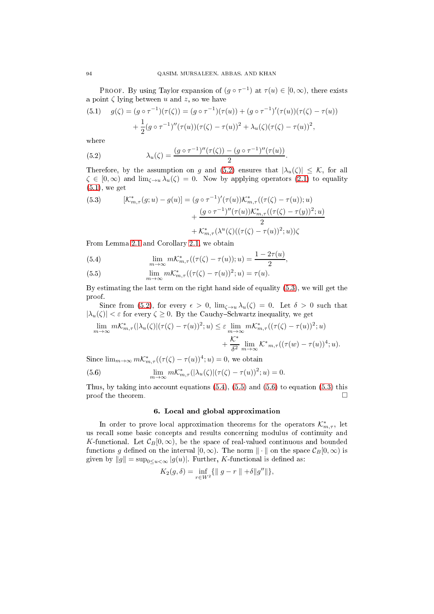PROOF. By using Taylor expansion of  $(g \circ \tau^{-1})$  at  $\tau(u) \in [0, \infty)$ , there exists a point  $\zeta$  lying between u and z, so we have

<span id="page-5-1"></span>(5.1) 
$$
g(\zeta) = (g \circ \tau^{-1})(\tau(\zeta)) = (g \circ \tau^{-1})(\tau(u)) + (g \circ \tau^{-1})'(\tau(u))(\tau(\zeta) - \tau(u)) + \frac{1}{2}(g \circ \tau^{-1})''(\tau(u))(\tau(\zeta) - \tau(u))^2 + \lambda_u(\zeta)(\tau(\zeta) - \tau(u))^2,
$$

where

<span id="page-5-0"></span>(5.2) 
$$
\lambda_u(\zeta) = \frac{(g \circ \tau^{-1})''(\tau(\zeta)) - (g \circ \tau^{-1})''(\tau(u))}{2}.
$$

Therefore, by the assumption on g and [\(5.2\)](#page-5-0) ensures that  $|\lambda_u(\zeta)| \leq \mathcal{K}$ , for all  $\zeta \in [0,\infty)$  and  $\lim_{\zeta \to u} \lambda_u(\zeta) = 0$ . Now by applying operators (2.1) to equality (5.1), we get

<span id="page-5-2"></span>(5.3) 
$$
[\mathcal{K}^*_{m,\tau}(g;u) - g(u)] = (g \circ \tau^{-1})'(\tau(u))\mathcal{K}^*_{m,\tau}((\tau(\zeta) - \tau(u));u) + \frac{(g \circ \tau^{-1})''(\tau(u))\mathcal{K}^*_{m,\tau}((\tau(\zeta) - \tau(y))^2;u)}{2} + \mathcal{K}^*_{m,\tau}(\lambda^u(\zeta)((\tau(\zeta) - \tau(u))^2;u))\zeta
$$

From Lemma [2.1](#page-2-0) and Corollary [2.1,](#page-2-1) we obtain

<span id="page-5-3"></span>(5.4) 
$$
\lim_{m \to \infty} m \mathcal{K}^*_{m,\tau}((\tau(\zeta) - \tau(u)); u) = \frac{1 - 2\tau(u)}{2},
$$

<span id="page-5-4"></span>(5.5) 
$$
\lim_{m \to \infty} mK_{m,\tau}^*((\tau(\zeta) - \tau(u))^2; u) = \tau(u).
$$

By estimating the last term on the right hand side of equality [\(5.3\)](#page-5-2), we will get the proof.

Since from [\(5.2\)](#page-5-0), for every  $\epsilon > 0$ ,  $\lim_{\zeta \to u} \lambda_u(\zeta) = 0$ . Let  $\delta > 0$  such that  $|\lambda_u(\zeta)| < \varepsilon$  for every  $\zeta \geq 0$ . By the Cauchy-Schwartz inequality, we get

$$
\lim_{m \to \infty} m\mathcal{K}_{m,\tau}^*(|\lambda_u(\zeta)|(\tau(\zeta) - \tau(u))^2; u) \leq \varepsilon \lim_{m \to \infty} m\mathcal{K}_{m,\tau}^*((\tau(\zeta) - \tau(u))^2; u) + \frac{\mathcal{K}^*}{\delta^2} \lim_{m \to \infty} \mathcal{K}^*_{m,\tau}((\tau(w) - \tau(u))^4; u).
$$

Since  $\lim_{m\to\infty} m\mathcal{K}_{m,\tau}^*((\tau(\zeta)-\tau(u))^4;u)=0$ , we obtain

(5.6) 
$$
\lim_{m \to \infty} mK_{m,\tau}^*(|\lambda_u(\zeta)|(\tau(\zeta) - \tau(u))^2; u) = 0.
$$

Thus, by taking into account equations  $(5.4)$ ,  $(5.5)$  and  $(5.6)$  to equation  $(5.3)$  this proof the theorem.  $\hfill \square$ 

## <span id="page-5-5"></span>6. Lo
al and global approximation

In order to prove local approximation theorems for the operators  $\mathcal{K}^*_{m,\tau}$ , let us recall some basic concepts and results concerning modulus of continuity and K-functional. Let  $\mathcal{C}_B[0,\infty)$ , be the space of real-valued continuous and bounded functions g defined on the interval  $[0, \infty)$ . The norm  $\|\cdot\|$  on the space  $\mathcal{C}_B[0, \infty)$  is given by  $||g|| = \sup_{0 \le u \le \infty} |g(u)|$ . Further, K-functional is defined as:

$$
K_2(g,\delta) = \inf_{r \in W^2} \{ \| g - r \| + \delta \| g'' \| \},\
$$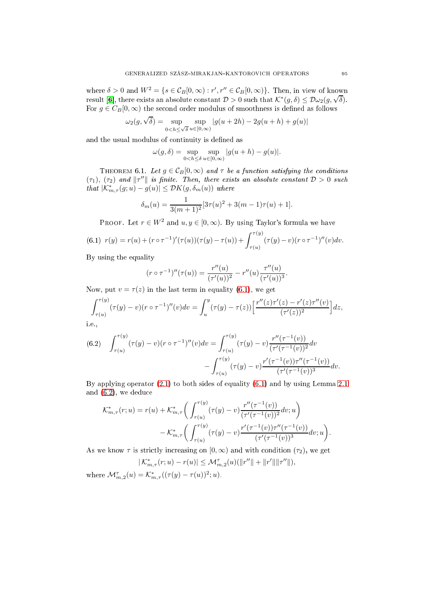where  $\delta > 0$  and  $W^2 = \{ s \in \mathcal{C}_B[0,\infty) : r', r'' \in \mathcal{C}_B[0,\infty) \}$ . Then, in view of known result [6], there exists an absolute constant  $D > 0$  such that  $\mathcal{K}^*(g, \delta) \leq \mathcal{D}\omega_2(g, \sqrt{\delta})$ . For  $g \in C_B[0,\infty)$  the second order modulus of smoothness is defined as follows

$$
\omega_2(g,\sqrt{\delta})=\sup_{0
$$

and the usual modulus of continuity is defined as

$$
\omega(g,\delta)=\sup_{0
$$

THEOREM 6.1. Let  $g \in C_B[0,\infty)$  and  $\tau$  be a function satisfying the conditions ( $\tau_1$ ), ( $\tau_2$ ) and  $||\tau''||$  is finite. Then, there exists an absolute constant  $D > 0$  such that  $|\mathcal{K}_{m,\tau}^*(g;u)-g(u)| \leq \mathcal{D}K(g,\delta_m(u))$  where

$$
\delta_m(u) = \frac{1}{3(m+1)^2} [3\tau(u)^2 + 3(m-1)\tau(u) + 1].
$$

PROOF. Let  $r \in W^2$  and  $u, y \in [0, \infty)$ . By using Taylor's formula we have

<span id="page-6-0"></span>(6.1) 
$$
r(y) = r(u) + (r \circ \tau^{-1})'(\tau(u))(\tau(y) - \tau(u)) + \int_{\tau(u)}^{\tau(y)} (\tau(y) - v)(r \circ \tau^{-1})''(v) dv.
$$

By using the equality

$$
(r \circ \tau^{-1})''(\tau(u)) = \frac{r''(u)}{(\tau'(u))^2} - r''(u) \frac{\tau''(u)}{(\tau'(u))^3}.
$$

Now, put  $v = \tau(z)$  in the last term in equality [\(6.1\)](#page-6-0), we get

$$
\int_{\tau(u)}^{\tau(y)} (\tau(y) - v)(r \circ \tau^{-1})''(v) dv = \int_u^y (\tau(y) - \tau(z)) \left[ \frac{r''(z)\tau'(z) - r'(z)\tau''(v)}{(\tau'(z))^2} \right] dz,
$$
  
i.e.,

<span id="page-6-1"></span>
$$
(6.2) \quad \int_{\tau(u)}^{\tau(y)} (\tau(y) - v)(r \circ \tau^{-1})''(v) dv = \int_{\tau(u)}^{\tau(y)} (\tau(y) - v) \frac{r''(\tau^{-1}(v))}{(\tau'(\tau^{-1}(v)))^2} dv - \int_{\tau(u)}^{\tau(y)} (\tau(y) - v) \frac{r'(\tau^{-1}(v))\tau''(\tau^{-1}(v))}{(\tau'(\tau^{-1}(v)))^3} dv.
$$

By applying operator [\(2.1\)](#page-1-1) to both sides of equality [\(6.1\)](#page-6-0) and by using Lemma [2.1](#page-2-0) and [\(6.2\)](#page-6-1), we dedu
e

$$
\mathcal{K}_{m,\tau}^*(r;u) = r(u) + \mathcal{K}_{m,\tau}^*\bigg(\int_{\tau(u)}^{\tau(y)} (\tau(y) - v) \frac{r''(\tau^{-1}(v))}{(\tau'(\tau^{-1}(v))^2} dv; u\bigg) - \mathcal{K}_{m,\tau}^*\bigg(\int_{\tau(u)}^{\tau(y)} (\tau(y) - v) \frac{r'(\tau^{-1}(v))\tau''(\tau^{-1}(v))}{(\tau'(\tau^{-1}(v))^3} dv; u\bigg).
$$

As we know  $\tau$  is strictly increasing on  $[0, \infty)$  and with condition  $(\tau_2)$ , we get

$$
|\mathcal{K}^*_{m,\tau}(r;u)-r(u)|\leq \mathcal{M}^{\tau}_{m,2}(u)(\|r''\|+\|r'\|\|\tau''\|),
$$

where  $\mathcal{M}_{m,2}^{\tau}(u) = \mathcal{K}_{m,\tau}^*((\tau(y) - \tau(u))^2; u).$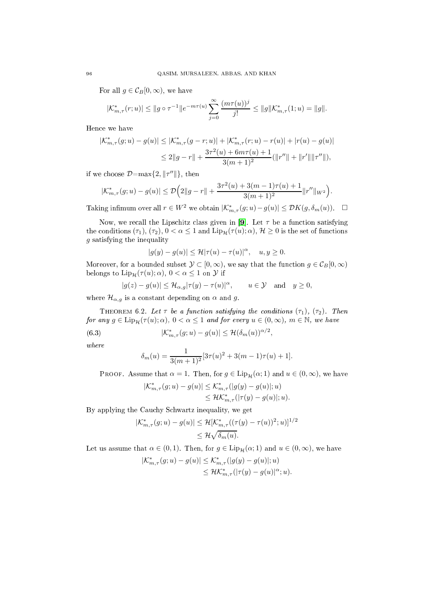For all  $g \in C_B[0,\infty)$ , we have

$$
|\mathcal{K}_{m,\tau}^*(r;u)| \le ||g \circ \tau^{-1}||e^{-m\tau(u)} \sum_{j=0}^{\infty} \frac{(m\tau(u))^j}{j!} \le ||g||\mathcal{K}_{m,\tau}^*(1;u) = ||g||.
$$

Hen
e we have

$$
\begin{aligned} |\mathcal{K}^*_{m,\tau}(g;u)-g(u)|&\leq |\mathcal{K}^*_{m,\tau}(g-r;u)|+|\mathcal{K}^*_{m,\tau}(r;u)-r(u)|+|r(u)-g(u)|\\ &\leq 2\|g-r\|+\frac{3\tau^2(u)+6m\tau(u)+1}{3(m+1)^2}(\|r''\|+\|r'\|\|\tau''\|), \end{aligned}
$$

if we choose  $\mathcal{D}=\max\{2,\|\tau''\|\},\$  then

$$
|\mathcal{K}_{m,\tau}^*(g;u)-g(u)| \leq \mathcal{D}\Big(2\|g-r\|+\frac{3\tau^2(u)+3(m-1)\tau(u)+1}{3(m+1)^2}\|r''\|_{W^2}\Big).
$$

Taking infimum over all  $r \in W^2$  we obtain  $|\mathcal{K}_{m,\tau}^*(g;u) - g(u)| \leq \mathcal{D}K(g,\delta_m(u))$ .  $\Box$ 

Now, we recall the Lipschitz class given in [9]. Let  $\tau$  be a function satisfying the conditions  $(\tau_1), (\tau_2), 0 < \alpha \leq 1$  and  $\text{Lip}_{\mathcal{H}}(\tau(u); \alpha), \mathcal{H} \geq 0$  is the set of functions g satisfying the inequality

$$
|g(y) - g(u)| \le \mathcal{H}|\tau(u) - \tau(u)|^{\alpha}, \quad u, y \ge 0.
$$

Moreover, for a bounded subset  $\mathcal{Y} \subset [0, \infty)$ , we say that the function  $g \in \mathcal{C}_B[0, \infty)$ belongs to  $\text{Lip}_{\mathcal{H}}(\tau(u); \alpha)$ ,  $0 < \alpha \leq 1$  on  $\mathcal{Y}$  if

$$
|g(z) - g(u)| \leq \mathcal{H}_{\alpha, g} |\tau(y) - \tau(u)|^{\alpha}, \qquad u \in \mathcal{Y} \quad \text{and} \quad y \geq 0,
$$

where  $\mathcal{H}_{\alpha,g}$  is a constant depending on  $\alpha$  and  $g$ .

THEOREM 6.2. Let  $\tau$  be a function satisfying the conditions  $(\tau_1)$ ,  $(\tau_2)$ . Then for any  $g \in \text{Lip}_{\mathcal{H}}(\tau(u); \alpha)$ ,  $0 < \alpha \leq 1$  and for every  $u \in (0, \infty)$ ,  $m \in \mathbb{N}$ , we have

(6.3) 
$$
|\mathcal{K}_{m,\tau}^*(g;u)-g(u)| \leq \mathcal{H}(\delta_m(u))^{\alpha/2},
$$

where

$$
\delta_m(u) = \frac{1}{3(m+1)^2} [3\tau(u)^2 + 3(m-1)\tau(u) + 1].
$$

PROOF. Assume that  $\alpha = 1$ . Then, for  $g \in Lip_{\mathcal{H}}(\alpha; 1)$  and  $u \in (0, \infty)$ , we have

$$
|\mathcal{K}^*_{m,\tau}(g;u)-g(u)| \leq \mathcal{K}^*_{m,\tau}(|g(y)-g(u)|;u)
$$
  

$$
\leq \mathcal{HK}^*_{m,\tau}(|\tau(y)-g(u)|;u).
$$

By applying the Cau
hy S
hwartz inequality, we get

$$
|\mathcal{K}_{m,\tau}^*(g;u) - g(u)| \leq \mathcal{H}[\mathcal{K}_{m,\tau}^*((\tau(y) - \tau(u))^2;u)]^{1/2}
$$
  

$$
\leq \mathcal{H}\sqrt{\delta_m(u)}.
$$

Let us assume that  $\alpha \in (0,1)$ . Then, for  $g \in \text{Lip}_{\mathcal{H}}(\alpha; 1)$  and  $u \in (0,\infty)$ , we have

$$
|\mathcal{K}_{m,\tau}^*(g;u) - g(u)| \leq \mathcal{K}_{m,\tau}^* (|g(y) - g(u)|; u) \leq \mathcal{HK}_{m,\tau}^* (|\tau(y) - g(u)|^{\alpha}; u).
$$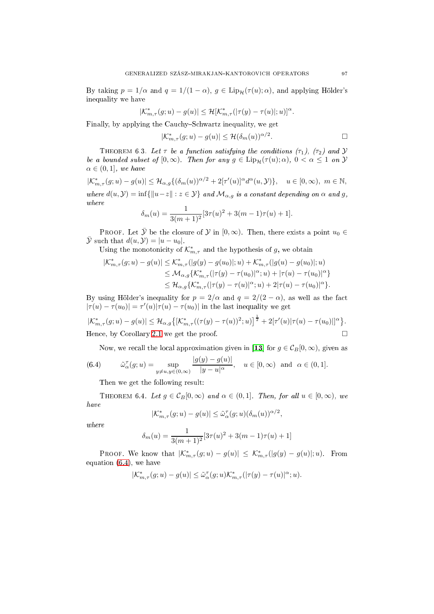By taking  $p = 1/\alpha$  and  $q = 1/(1 - \alpha)$ ,  $g \in \text{Lip}_{\mathcal{H}}(\tau(u); \alpha)$ , and applying Hölder's inequality we have

$$
|\mathcal{K}^*_{m,\tau}(g;u)-g(u)|\leq \mathcal{H}[\mathcal{K}^*_{m,\tau}(|\tau(y)-\tau(u)|;u)]^{\alpha}.
$$

Finally, by applying the Cauchy–Schwartz inequality, we get

$$
|\mathcal{K}_{m,\tau}^*(g;u) - g(u)| \leq \mathcal{H}(\delta_m(u))^{\alpha/2}.
$$

THEOREM 6.3. Let  $\tau$  be a function satisfying the conditions  $(\tau_1)$ ,  $(\tau_2)$  and  $\mathcal Y$ be a bounded subset of  $[0, \infty)$ . Then for any  $g \in \text{Lip}_{\mathcal{H}}(\tau(u); \alpha)$ ,  $0 < \alpha \leq 1$  on  $\mathcal{Y}$  $\alpha \in (0,1],$  we have

$$
|\mathcal{K}_{m,\tau}^*(g;u) - g(u)| \leq \mathcal{H}_{\alpha,g}\{(\delta_m(u))^{\alpha/2} + 2[\tau'(u)]^{\alpha}d^{\alpha}(u,\mathcal{Y})\}, \quad u \in [0,\infty), \ m \in \mathbb{N},
$$
  
where  $d(u,\mathcal{Y}) = \inf\{\|u-z\| : z \in \mathcal{Y}\}$  and  $\mathcal{M}_{\alpha,g}$  is a constant depending on  $\alpha$  and  $g$ ,  
where

$$
\delta_m(u) = \frac{1}{3(m+1)^2} [3\tau(u)^2 + 3(m-1)\tau(u) + 1].
$$

**PROOF.** Let  $\bar{y}$  be the closure of  $\mathcal{Y}$  in  $[0, \infty)$ . Then, there exists a point  $u_0 \in$  $\overline{\mathcal{Y}}$  such that  $d(u, \mathcal{Y}) = |u - u_0|$ .

Using the monotonicity of  $\mathcal{K}_{m,\tau}^*$  and the hypothesis of  $g,$  we obtain

$$
|\mathcal{K}_{m,\tau}^{*}(g; u) - g(u)| \leq \mathcal{K}_{m,\tau}^{*}(|g(y) - g(u_{0})|; u) + \mathcal{K}_{m,\tau}^{*}(|g(u) - g(u_{0})|; u) \leq \mathcal{M}_{\alpha,g}\{\mathcal{K}_{m,\tau}^{*}(|\tau(y) - \tau(u_{0})|^{\alpha}; u) + |\tau(u) - \tau(u_{0})|^{\alpha}\} \leq \mathcal{H}_{\alpha,g}\{\mathcal{K}_{m,\tau}^{*}(|\tau(y) - \tau(u)|^{\alpha}; u) + 2|\tau(u) - \tau(u_{0})|^{\alpha}\}.
$$

By using Hölder's inequality for  $p = 2/\alpha$  and  $q = 2/(2 - \alpha)$ , as well as the fact  $|\tau(u) - \tau(u_0)| = \tau'(u) |\tau(u) - \tau(u_0)|$  in the last inequality we get

$$
|\mathcal{K}_{m,\tau}^*(g;u)-g(u)| \leq \mathcal{H}_{\alpha,g}\big\{ [\mathcal{K}_{m,\tau}^*((\tau(y)-\tau(u))^2;u)]^{\frac{1}{2}} + 2[\tau'(u)|\tau(u)-\tau(u_0)|]^{\alpha} \big\}.
$$
  
Hence, by Corollary 2.1 we get the proof.

<span id="page-8-0"></span>Now, we recall the local approximation given in [13] for  $q \in C_B[0,\infty)$ , given as

(6.4) 
$$
\tilde{\omega}_{\alpha}^{\tau}(g; u) = \sup_{y \neq u, y \in (0, \infty)} \frac{|g(y) - g(u)|}{|y - u|^{\alpha}}, \quad u \in [0, \infty) \text{ and } \alpha \in (0, 1].
$$

Then we get the following result:

THEOREM 6.4. Let  $g \in C_B[0,\infty)$  and  $\alpha \in (0,1]$ . Then, for all  $u \in [0,\infty)$ , we have

$$
|\mathcal{K}_{m,\tau}^*(g;u) - g(u)| \leq \tilde{\omega}_{\alpha}^{\tau}(g;u)(\delta_m(u))^{\alpha/2},
$$

where

$$
\delta_m(u) = \frac{1}{3(m+1)^2} [3\tau(u)^2 + 3(m-1)\tau(u) + 1]
$$

PROOF. We know that  $|\mathcal{K}_{m,\tau}^*(g;u) - g(u)| \leq \mathcal{K}_{m,\tau}^* (|g(y) - g(u)|;u)$ . From equation [\(6.4\)](#page-8-0), we have

$$
|\mathcal{K}^*_{m,\tau}(g;u)-g(u)|\leq \tilde{\omega}^{\tau}_{\alpha}(g;u)\mathcal{K}^*_{m,\tau}(|\tau(y)-\tau(u)|^{\alpha};u).
$$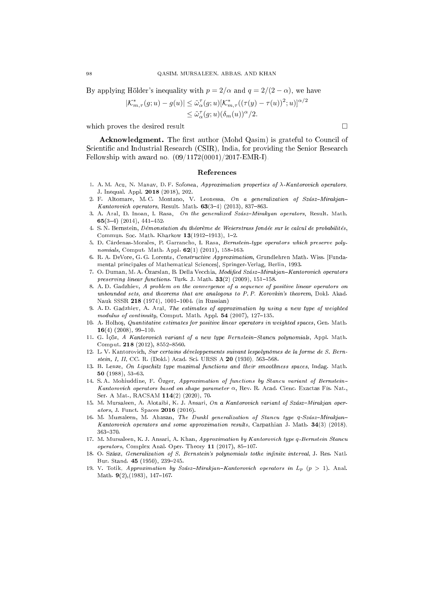By applying Hölder's inequality with  $p = 2/\alpha$  and  $q = 2/(2 - \alpha)$ , we have

$$
|\mathcal{K}_{m,\tau}^*(g;u) - g(u)| \leq \tilde{\omega}_{\alpha}^{\tau}(g;u)[\mathcal{K}_{m,\tau}^*((\tau(y) - \tau(u))^2;u)]^{\alpha/2}
$$
  

$$
\leq \tilde{\omega}_{\alpha}^{\tau}(g;u)(\delta_m(u))^{\alpha}/2.
$$

which proves the desired result  $\square$ 

Acknowledgment. The first author (Mohd Qasim) is grateful to Council of Scientific and Industrial Research (CSIR), India, for providing the Senior Research Fellowship with award no.  $(09/1172(0001)/2017$ -EMR-I).

#### Referen
es

- <span id="page-9-5"></span>1. A.M. Acu, N. Manav, D.F. Sofonea, Approximation properties of  $\lambda$ -Kantorovich operators, J. Inequal. Appl. <sup>2018</sup> (2018), 202.
- <span id="page-9-6"></span>2. F. Altomare, M.C. Montano, V. Leonessa, On a generalization of  $Sz$ asz-Mirakian-*Kantorovich operators*, Result. Math.  $63(3-4)$   $(2013)$ ,  $837-863$ .
- <span id="page-9-3"></span>3. A. Aral, D. Inoan, I. Rasa, On the generalized Szász-Mirakyan operators, Result. Math. 65(3-4) (2014),  $441-452$ .
- <span id="page-9-0"></span>4. S. N. Bernstein, *Démonstation du théorème de Weierstrass fondée sur le calcul de probabilités*, Commun. Soc. Math. Kharkow 13(1912-1913), 1-2.
- <span id="page-9-2"></span>5. D. Cárdenas-Morales, P. Garrancho, I. Rasa, Bernstein-type operators which preserve polynomials, Comput. Math. Appl.  $62(1)$  (2011), 158-163.
- <span id="page-9-13"></span>6. R. A. DeVore, G. G. Lorentz, Constructive Approximation, Grundlehren Math. Wiss. [Fundamental principales of Mathematical Sciences], Springer-Verlag, Berlin, 1993.
- 7. O. Duman, M. A. Özarslan, B. Della Vecchia, Modified Szász-Mirakjan-Kantorovich operators  $preserving linear functions. Turk. J. Math. 33(2) (2009), 151-158.$
- <span id="page-9-11"></span>8. A.D. Gadzhiev, A problem on the convergence of a sequence of positive linear operators on unbounded sets, and theorems that are analogous to P.P. Korovkin's theorem, Dokl. Akad. Nauk SSSR 218 (1974), 1001-1004. (in Russian)
- <span id="page-9-14"></span>9. A. D. Gadzhiev, A. Aral, The estimates of approximation by using a new type of weighted  $modulus of continuity, Comput. Math. Appl. 54 (2007), 127-135.$
- <span id="page-9-12"></span>10. A. Holhos, Quantitative estimates for positive linear operators in weighted spaces, Gen. Math.  $16(4)$  (2008), 99-110.
- <span id="page-9-7"></span>11. G. Içöz, A Kantorovich variant of a new type Bernstein-Stancu polynomials, Appl. Math. Comput. 218 (2012),  $8552-8560$ .
- <span id="page-9-1"></span>12. L.V. Kantorovich, Sur certains développements suivant lespolynômes de la forme de S. Bernstein, I, II, CC. R. (Dokl.) Acad. Sci. URSS A 20 (1930), 563-568.
- <span id="page-9-15"></span>13. B. Lenze, On Lipschitz type maximal functions and their smoothness spaces, Indag. Math. 50  $(1988)$ , 53-63.
- <span id="page-9-8"></span>14. S.A. Mohiuddine, F. Özger, Approximation of functions by Stancu variant of Bernstein-Kantorovich operators based on shape parameter  $\alpha$ , Rev. R. Acad. Cienc. Exactas Fís. Nat., Ser. A Mat., RACSAM 114(2) (2020), 70.
- 15. M. Mursaleen, A. Alotaibi, K. J. Ansari, On a Kantorovich variant of Szász-Mirakjan operators, J. Funct. Spaces 2016 (2016).
- 16. M. Mursaleen, M. Ahasan, The Dunkl generalization of Stancu type q-Szász-Mirakjan-Kantorovich operators and some approximation results, Carpathian J. Math. 34(3) (2018),  $363 - 370.$
- <span id="page-9-9"></span>17. M. Mursaleen, K. J. Ansari, A. Khan, Approximation by Kantorovich type q-Bernstein Stancu operators, Complex Anal. Oper. Theory  $11$  (2017), 85-107.
- <span id="page-9-4"></span>18. O. Szász, Generalization of S. Bernstein's polynomials tothe infinite interval, J. Res. Natl. Bur. Stand. 45 (1950), 239-245.
- <span id="page-9-10"></span>19. V. Totik, Approximation by Szász-Mirakjan-Kantorovich operators in  $L_p$  ( $p > 1$ ). Anal. Math.  $9(2)$ , (1983), 147-167.